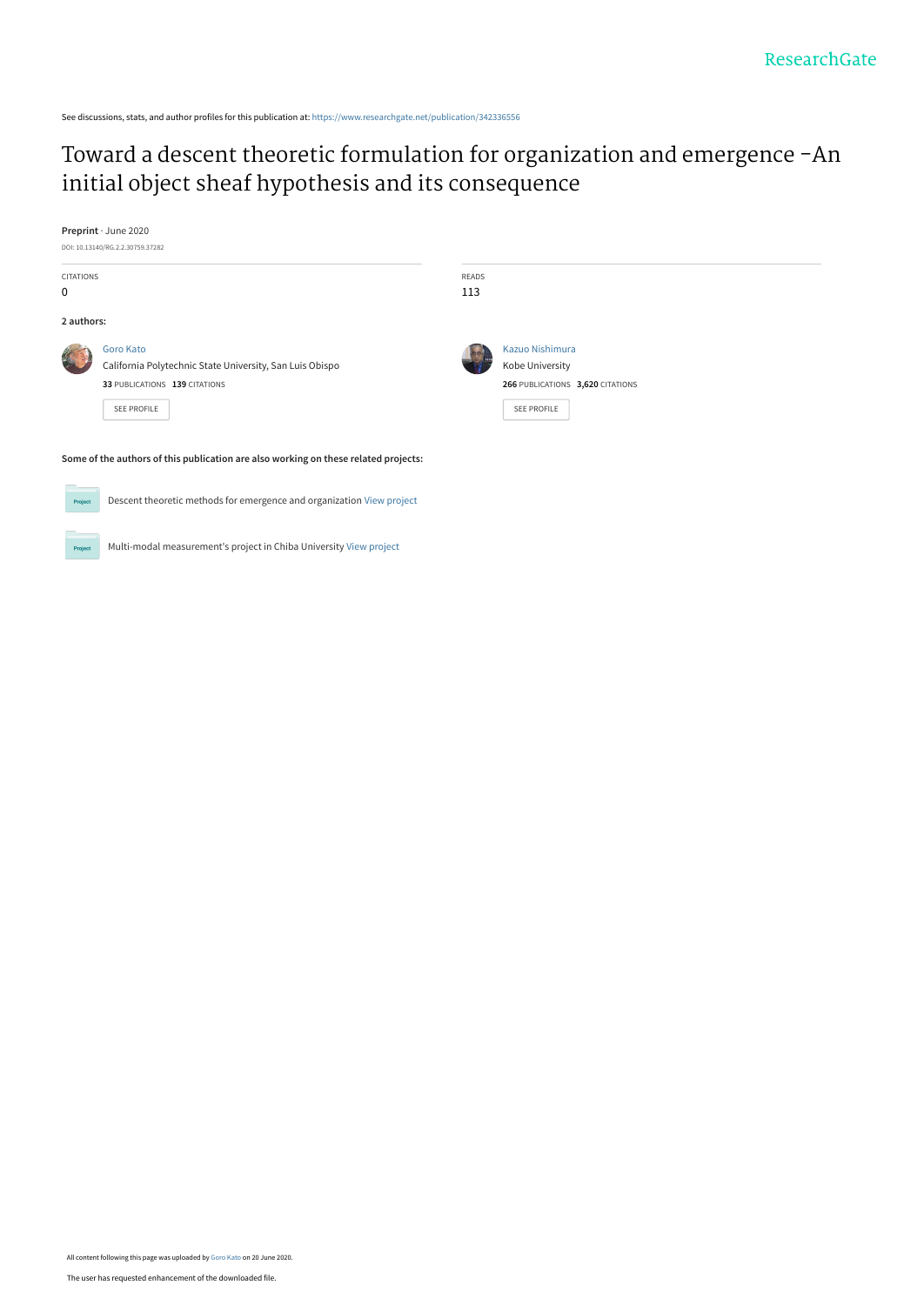See discussions, stats, and author profiles for this publication at: [https://www.researchgate.net/publication/342336556](https://www.researchgate.net/publication/342336556_Toward_a_descent_theoretic_formulation_for_organization_and_emergence_-An_initial_object_sheaf_hypothesis_and_its_consequence?enrichId=rgreq-97266541b08cd6b206b9553997fdb664-XXX&enrichSource=Y292ZXJQYWdlOzM0MjMzNjU1NjtBUzo5MDQ1NDE2MjkzMjk0MDhAMTU5MjY3MDkzODMwNg%3D%3D&el=1_x_2&_esc=publicationCoverPdf)

## [Toward a descent theoretic formulation for organization and emergence -An](https://www.researchgate.net/publication/342336556_Toward_a_descent_theoretic_formulation_for_organization_and_emergence_-An_initial_object_sheaf_hypothesis_and_its_consequence?enrichId=rgreq-97266541b08cd6b206b9553997fdb664-XXX&enrichSource=Y292ZXJQYWdlOzM0MjMzNjU1NjtBUzo5MDQ1NDE2MjkzMjk0MDhAMTU5MjY3MDkzODMwNg%3D%3D&el=1_x_3&_esc=publicationCoverPdf) initial object sheaf hypothesis and its consequence

**Preprint** · June 2020



Proj

Multi-modal measurement's project in Chiba University [View project](https://www.researchgate.net/project/Multi-modal-measurements-project-in-Chiba-University?enrichId=rgreq-97266541b08cd6b206b9553997fdb664-XXX&enrichSource=Y292ZXJQYWdlOzM0MjMzNjU1NjtBUzo5MDQ1NDE2MjkzMjk0MDhAMTU5MjY3MDkzODMwNg%3D%3D&el=1_x_9&_esc=publicationCoverPdf)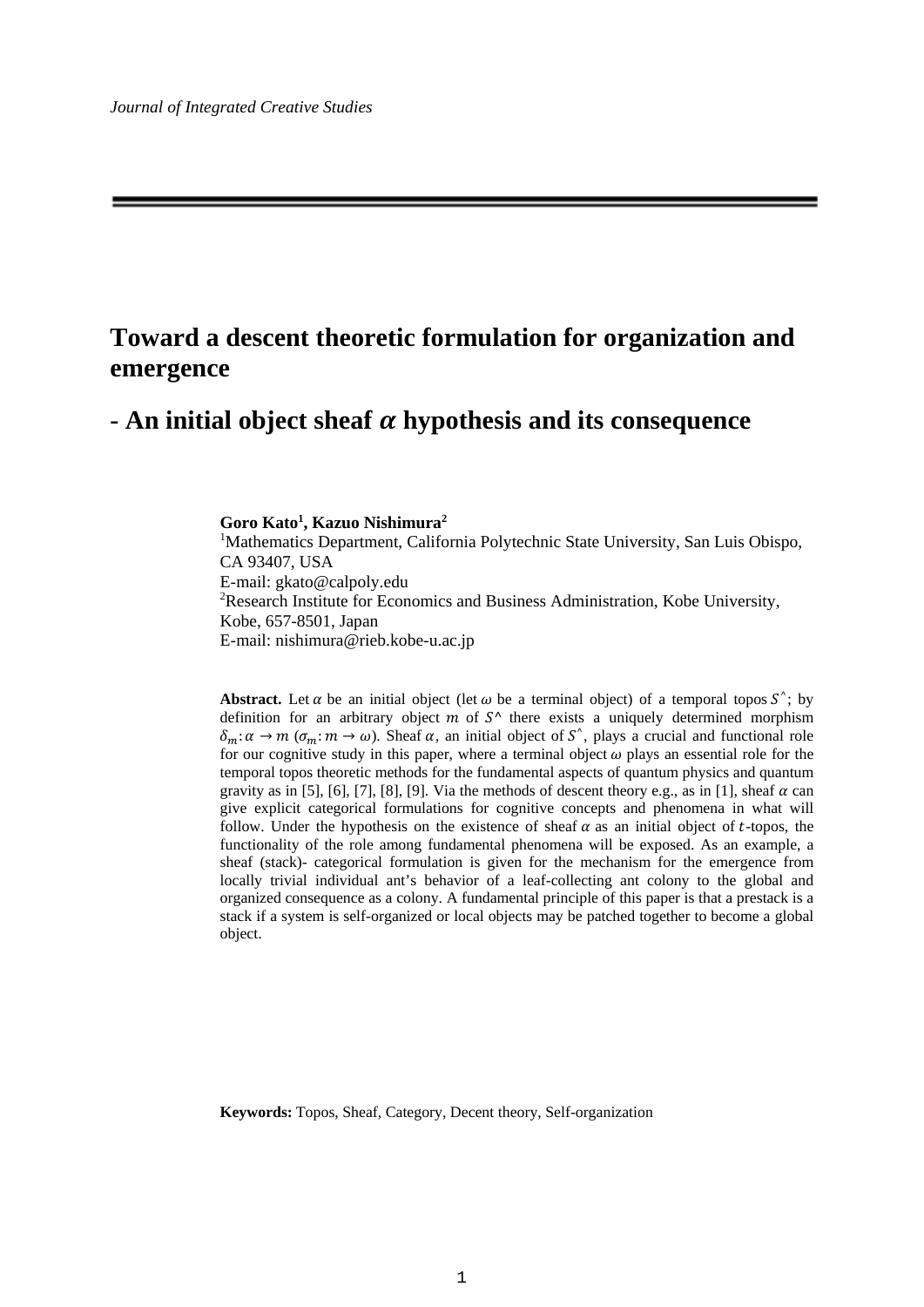# **Toward a descent theoretic formulation for organization and emergence**

## $\cdot$  **An initial object sheaf**  $\alpha$  **hypothesis and its consequence**

### **Goro Kato1 , Kazuo Nishimura2**

<sup>1</sup>Mathematics Department, California Polytechnic State University, San Luis Obispo, CA 93407, USA E-mail: gkato@calpoly.edu <sup>2</sup>Research Institute for Economics and Business Administration, Kobe University, Kobe, 657-8501, Japan E-mail: nishimura@rieb.kobe-u.ac.jp

**Abstract.** Let  $\alpha$  be an initial object (let  $\omega$  be a terminal object) of a temporal topos  $S^{\wedge}$ ; by definition for an arbitrary object m of  $S^{\wedge}$  there exists a uniquely determined morphism  $\delta_m: \alpha \to m$  ( $\sigma_m: m \to \omega$ ). Sheaf  $\alpha$ , an initial object of S<sup> $\circ$ </sup>, plays a crucial and functional role for our cognitive study in this paper, where a terminal object  $\omega$  plays an essential role for the temporal topos theoretic methods for the fundamental aspects of quantum physics and quantum gravity as in [5], [6], [7], [8], [9]. Via the methods of descent theory e.g., as in [1], sheaf  $\alpha$  can give explicit categorical formulations for cognitive concepts and phenomena in what will follow. Under the hypothesis on the existence of sheaf  $\alpha$  as an initial object of t-topos, the functionality of the role among fundamental phenomena will be exposed. As an example, a sheaf (stack)- categorical formulation is given for the mechanism for the emergence from locally trivial individual ant's behavior of a leaf-collecting ant colony to the global and organized consequence as a colony. A fundamental principle of this paper is that a prestack is a stack if a system is self-organized or local objects may be patched together to become a global object.

**Keywords:** Topos, Sheaf, Category, Decent theory, Self-organization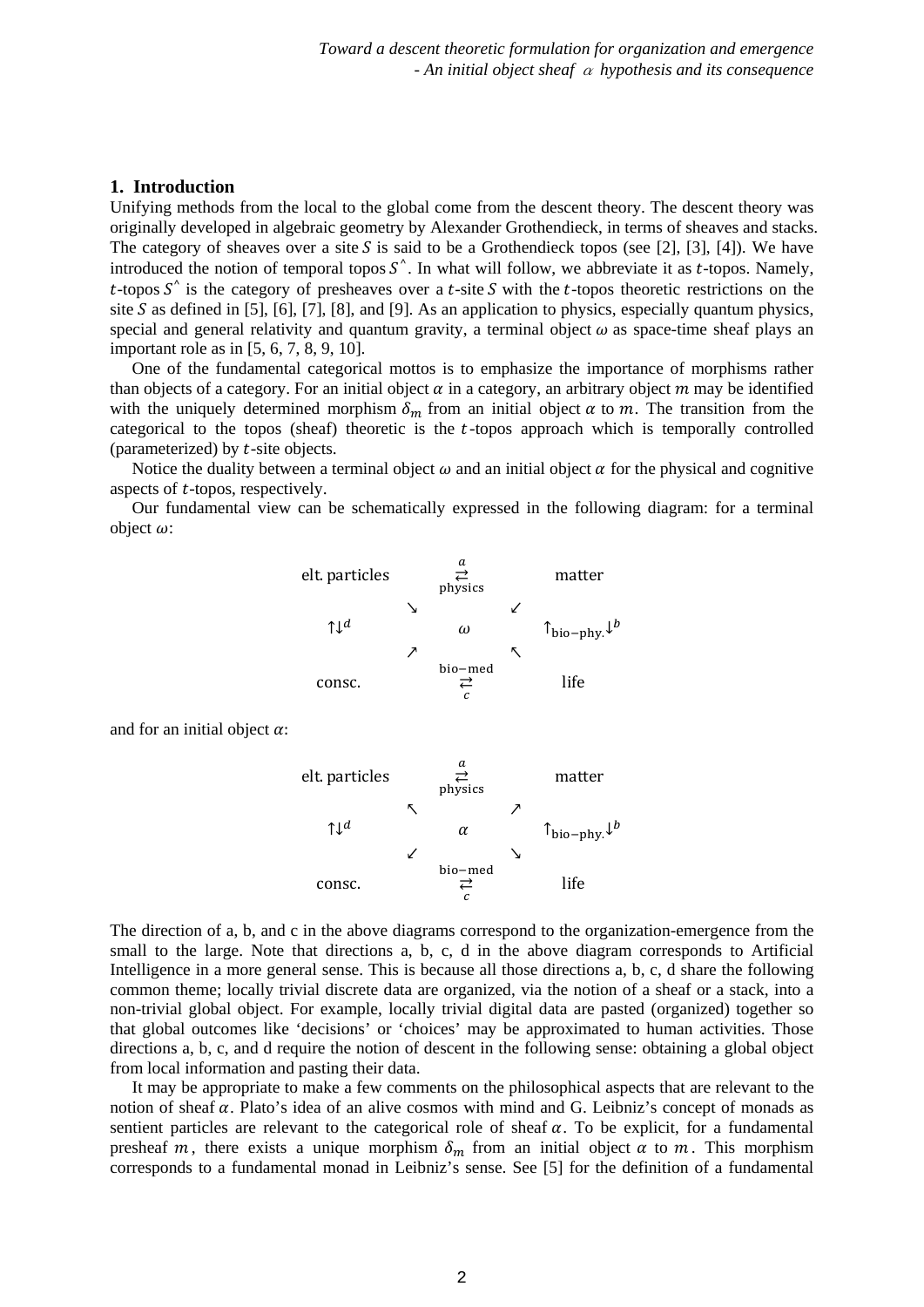## **1. Introduction**

Unifying methods from the local to the global come from the descent theory. The descent theory was originally developed in algebraic geometry by Alexander Grothendieck, in terms of sheaves and stacks. The category of sheaves over a site S is said to be a Grothendieck topos (see [2], [3], [4]). We have introduced the notion of temporal topos  $S^{\wedge}$ . In what will follow, we abbreviate it as *t*-topos. Namely,  $t$ -topos  $S^{\wedge}$  is the category of presheaves over a  $t$ -site  $S$  with the  $t$ -topos theoretic restrictions on the site S as defined in [5], [6], [7], [8], and [9]. As an application to physics, especially quantum physics, special and general relativity and quantum gravity, a terminal object  $\omega$  as space-time sheaf plays an important role as in [5, 6, 7, 8, 9, 10].

One of the fundamental categorical mottos is to emphasize the importance of morphisms rather than objects of a category. For an initial object  $\alpha$  in a category, an arbitrary object  $m$  may be identified with the uniquely determined morphism  $\delta_m$  from an initial object  $\alpha$  to  $m$ . The transition from the categorical to the topos (sheaf) theoretic is the  $t$ -topos approach which is temporally controlled (parameterized) by  $t$ -site objects.

Notice the duality between a terminal object  $\omega$  and an initial object  $\alpha$  for the physical and cognitive aspects of *t*-topos, respectively.

Our fundamental view can be schematically expressed in the following diagram: for a terminal object  $\omega$ :



and for an initial object  $\alpha$ :



The direction of a, b, and c in the above diagrams correspond to the organization-emergence from the small to the large. Note that directions a, b, c, d in the above diagram corresponds to Artificial Intelligence in a more general sense. This is because all those directions a, b, c, d share the following common theme; locally trivial discrete data are organized, via the notion of a sheaf or a stack, into a non-trivial global object. For example, locally trivial digital data are pasted (organized) together so that global outcomes like 'decisions' or 'choices' may be approximated to human activities. Those directions a, b, c, and d require the notion of descent in the following sense: obtaining a global object from local information and pasting their data.

It may be appropriate to make a few comments on the philosophical aspects that are relevant to the notion of sheaf  $\alpha$ . Plato's idea of an alive cosmos with mind and G. Leibniz's concept of monads as sentient particles are relevant to the categorical role of sheaf  $\alpha$ . To be explicit, for a fundamental presheaf m, there exists a unique morphism  $\delta_m$  from an initial object  $\alpha$  to m. This morphism corresponds to a fundamental monad in Leibniz's sense. See [5] for the definition of a fundamental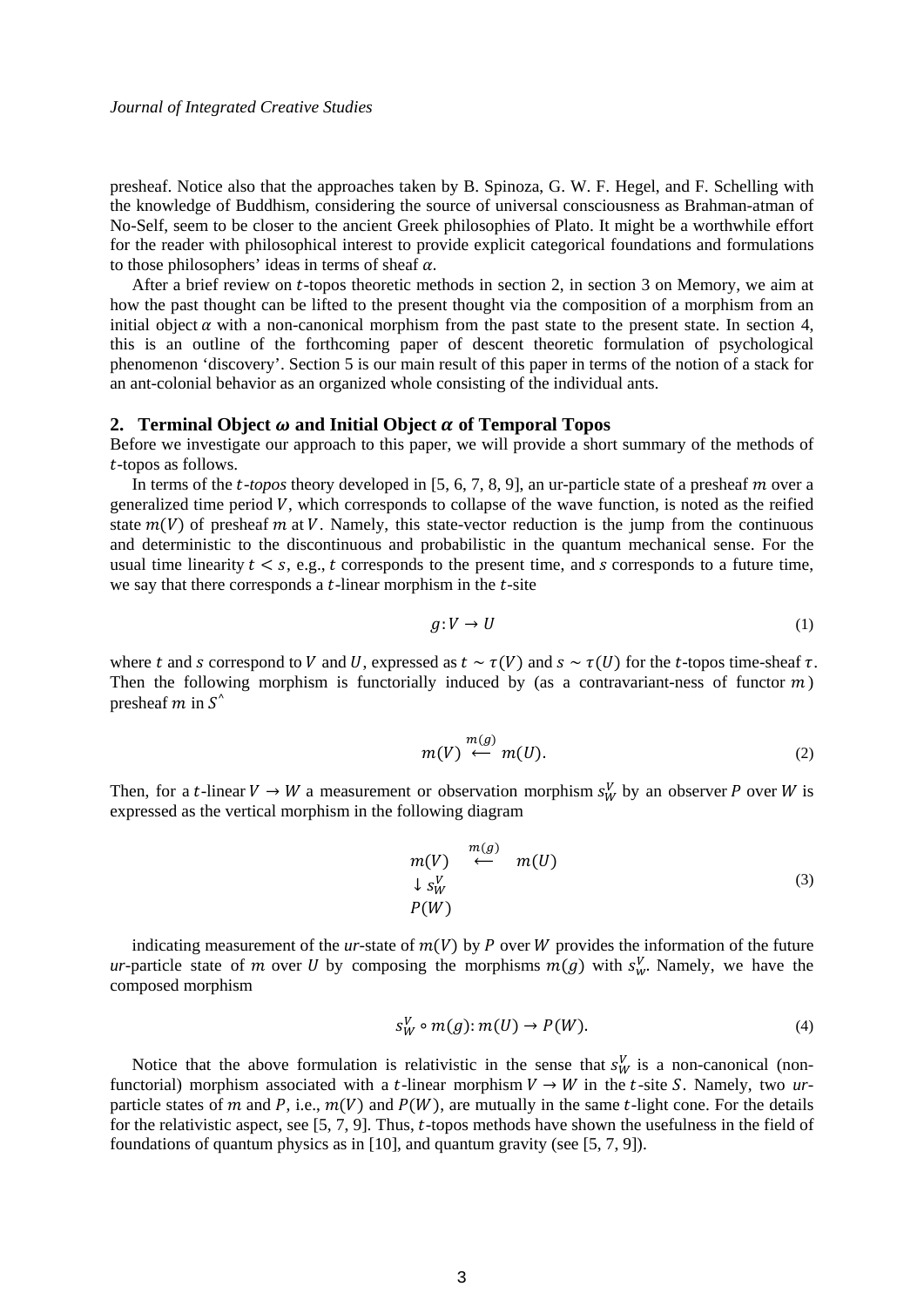presheaf. Notice also that the approaches taken by B. Spinoza, G. W. F. Hegel, and F. Schelling with the knowledge of Buddhism, considering the source of universal consciousness as Brahman-atman of No-Self, seem to be closer to the ancient Greek philosophies of Plato. It might be a worthwhile effort for the reader with philosophical interest to provide explicit categorical foundations and formulations to those philosophers' ideas in terms of sheaf  $\alpha$ .

After a brief review on  $t$ -topos theoretic methods in section 2, in section 3 on Memory, we aim at how the past thought can be lifted to the present thought via the composition of a morphism from an initial object  $\alpha$  with a non-canonical morphism from the past state to the present state. In section 4, this is an outline of the forthcoming paper of descent theoretic formulation of psychological phenomenon 'discovery'. Section 5 is our main result of this paper in terms of the notion of a stack for an ant-colonial behavior as an organized whole consisting of the individual ants.

#### **2. Terminal Object**  $\omega$  **and Initial Object**  $\alpha$  **of Temporal Topos**

Before we investigate our approach to this paper, we will provide a short summary of the methods of -topos as follows.

In terms of the  $t$ -topos theory developed in  $[5, 6, 7, 8, 9]$ , an ur-particle state of a presheaf  $m$  over a generalized time period  $V$ , which corresponds to collapse of the wave function, is noted as the reified state  $m(V)$  of presheaf m at V. Namely, this state-vector reduction is the jump from the continuous and deterministic to the discontinuous and probabilistic in the quantum mechanical sense. For the usual time linearity  $t < s$ , e.g., t corresponds to the present time, and s corresponds to a future time, we say that there corresponds a  $t$ -linear morphism in the  $t$ -site

$$
g: V \to U \tag{1}
$$

where t and s correspond to V and U, expressed as  $t \sim \tau(V)$  and  $s \sim \tau(U)$  for the t-topos time-sheaf  $\tau$ . Then the following morphism is functorially induced by (as a contravariant-ness of functor  $m$ ) presheaf  $m$  in  $S^{\prime}$ 

$$
m(V) \stackrel{m(g)}{\longleftarrow} m(U). \tag{2}
$$

Then, for a *t*-linear  $V \to W$  a measurement or observation morphism  $s_W^V$  by an observer P over W is expressed as the vertical morphism in the following diagram

$$
m(V) \stackrel{m(g)}{\leftarrow} m(U) \downarrow s_W^V P(W)
$$
\n(3)

indicating measurement of the *ur*-state of  $m(V)$  by P over W provides the information of the future *ur*-particle state of *m* over *U* by composing the morphisms  $m(g)$  with  $s_w^V$ . Namely, we have the composed morphism

$$
s_W^V \circ m(g) \colon m(U) \to P(W). \tag{4}
$$

Notice that the above formulation is relativistic in the sense that  $s_W^V$  is a non-canonical (nonfunctorial) morphism associated with a t-linear morphism  $V \rightarrow W$  in the t-site S. Namely, two *ur*particle states of m and P, i.e.,  $m(V)$  and  $P(W)$ , are mutually in the same t-light cone. For the details for the relativistic aspect, see  $[5, 7, 9]$ . Thus, t-topos methods have shown the usefulness in the field of foundations of quantum physics as in [10], and quantum gravity (see [5, 7, 9]).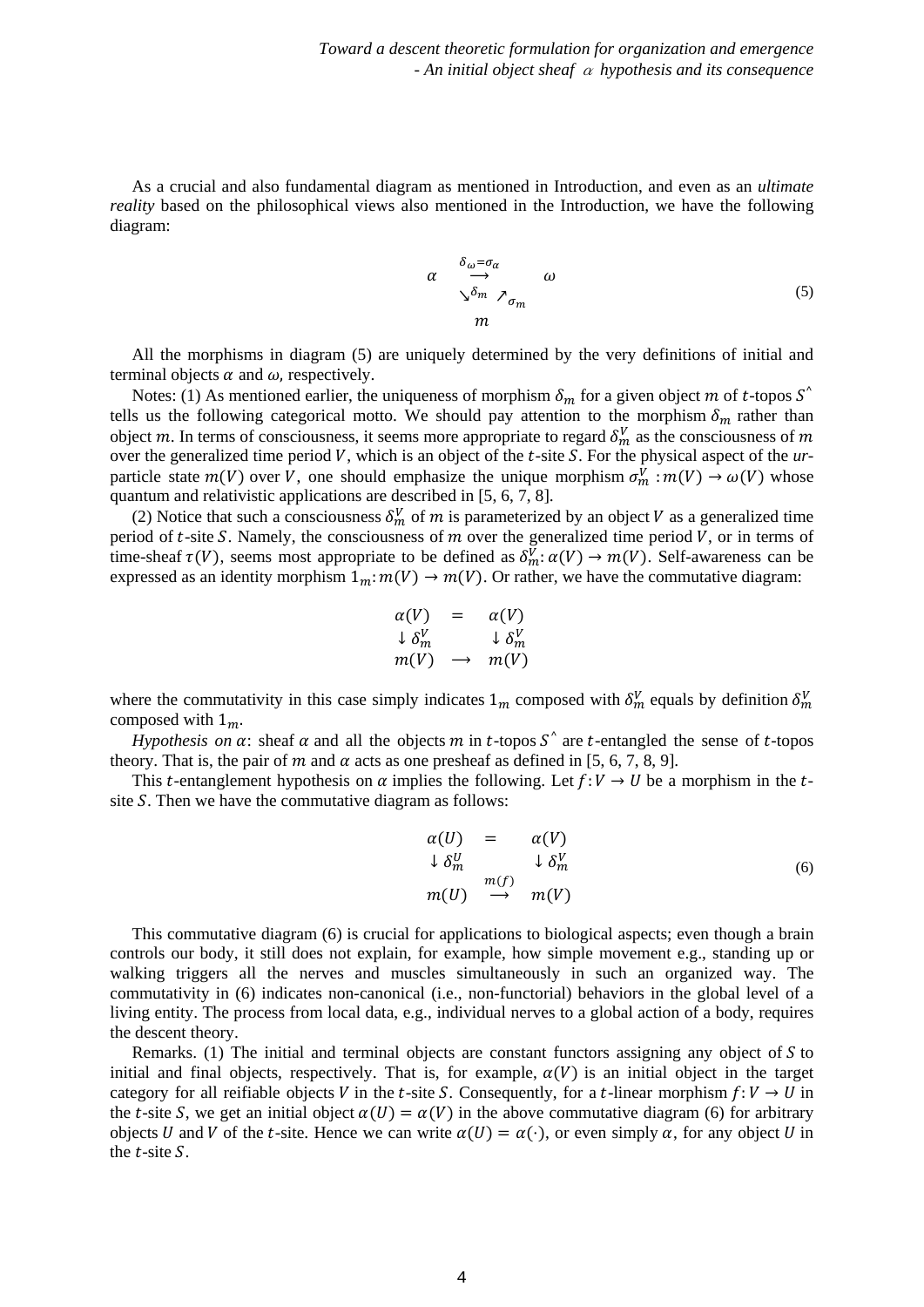As a crucial and also fundamental diagram as mentioned in Introduction, and even as an *ultimate reality* based on the philosophical views also mentioned in the Introduction, we have the following diagram:

$$
\alpha \xrightarrow{\delta_{\omega} = \sigma_{\alpha}} \omega
$$
  

$$
\sum^{\delta_{m}} \sigma_{m}
$$
  

$$
m
$$
  

$$
(5)
$$

All the morphisms in diagram (5) are uniquely determined by the very definitions of initial and terminal objects  $\alpha$  and  $\omega$ , respectively.

Notes: (1) As mentioned earlier, the uniqueness of morphism  $\delta_m$  for a given object m of t-topos  $S^{\wedge}$ tells us the following categorical motto. We should pay attention to the morphism  $\delta_m$  rather than object m. In terms of consciousness, it seems more appropriate to regard  $\delta_m^V$  as the consciousness of m over the generalized time period V, which is an object of the t-site S. For the physical aspect of the *ur*particle state  $m(V)$  over V, one should emphasize the unique morphism  $\sigma_m^V : m(V) \to \omega(V)$  whose quantum and relativistic applications are described in [5, 6, 7, 8].

(2) Notice that such a consciousness  $\delta_m^V$  of m is parameterized by an object V as a generalized time period of  $t$ -site  $S$ . Namely, the consciousness of  $m$  over the generalized time period  $V$ , or in terms of time-sheaf  $\tau(V)$ , seems most appropriate to be defined as  $\delta_m^V : \alpha(V) \to m(V)$ . Self-awareness can be expressed as an identity morphism  $1_m: m(V) \to m(V)$ . Or rather, we have the commutative diagram:

$$
\alpha(V) = \alpha(V) \n\downarrow \delta_m^V \qquad \downarrow \delta_m^V \nm(V) \rightarrow m(V)
$$

where the commutativity in this case simply indicates  $1_m$  composed with  $\delta_m^V$  equals by definition  $\delta_m^V$ composed with  $1_m$ .

*Hypothesis on*  $\alpha$ : sheaf  $\alpha$  and all the objects m in t-topos  $S^{\wedge}$  are t-entangled the sense of t-topos theory. That is, the pair of m and  $\alpha$  acts as one presheaf as defined in [5, 6, 7, 8, 9].

This t-entanglement hypothesis on  $\alpha$  implies the following. Let  $f: V \to U$  be a morphism in the tsite  $S$ . Then we have the commutative diagram as follows:

$$
\alpha(U) = \alpha(V)
$$
  
\n
$$
\downarrow \delta_m^U \qquad \qquad \downarrow \delta_m^V
$$
  
\n
$$
m(U) \qquad \longrightarrow \qquad m(V)
$$
  
\n(6)

This commutative diagram (6) is crucial for applications to biological aspects; even though a brain controls our body, it still does not explain, for example, how simple movement e.g., standing up or walking triggers all the nerves and muscles simultaneously in such an organized way. The commutativity in (6) indicates non-canonical (i.e., non-functorial) behaviors in the global level of a living entity. The process from local data, e.g., individual nerves to a global action of a body, requires the descent theory.

Remarks. (1) The initial and terminal objects are constant functors assigning any object of  $S$  to initial and final objects, respectively. That is, for example,  $\alpha(V)$  is an initial object in the target category for all reifiable objects V in the t-site S. Consequently, for a t-linear morphism  $f: V \to U$  in the t-site S, we get an initial object  $\alpha(U) = \alpha(V)$  in the above commutative diagram (6) for arbitrary objects *U* and *V* of the *t*-site. Hence we can write  $\alpha(U) = \alpha(\cdot)$ , or even simply  $\alpha$ , for any object *U* in the  $t$ -site  $S$ .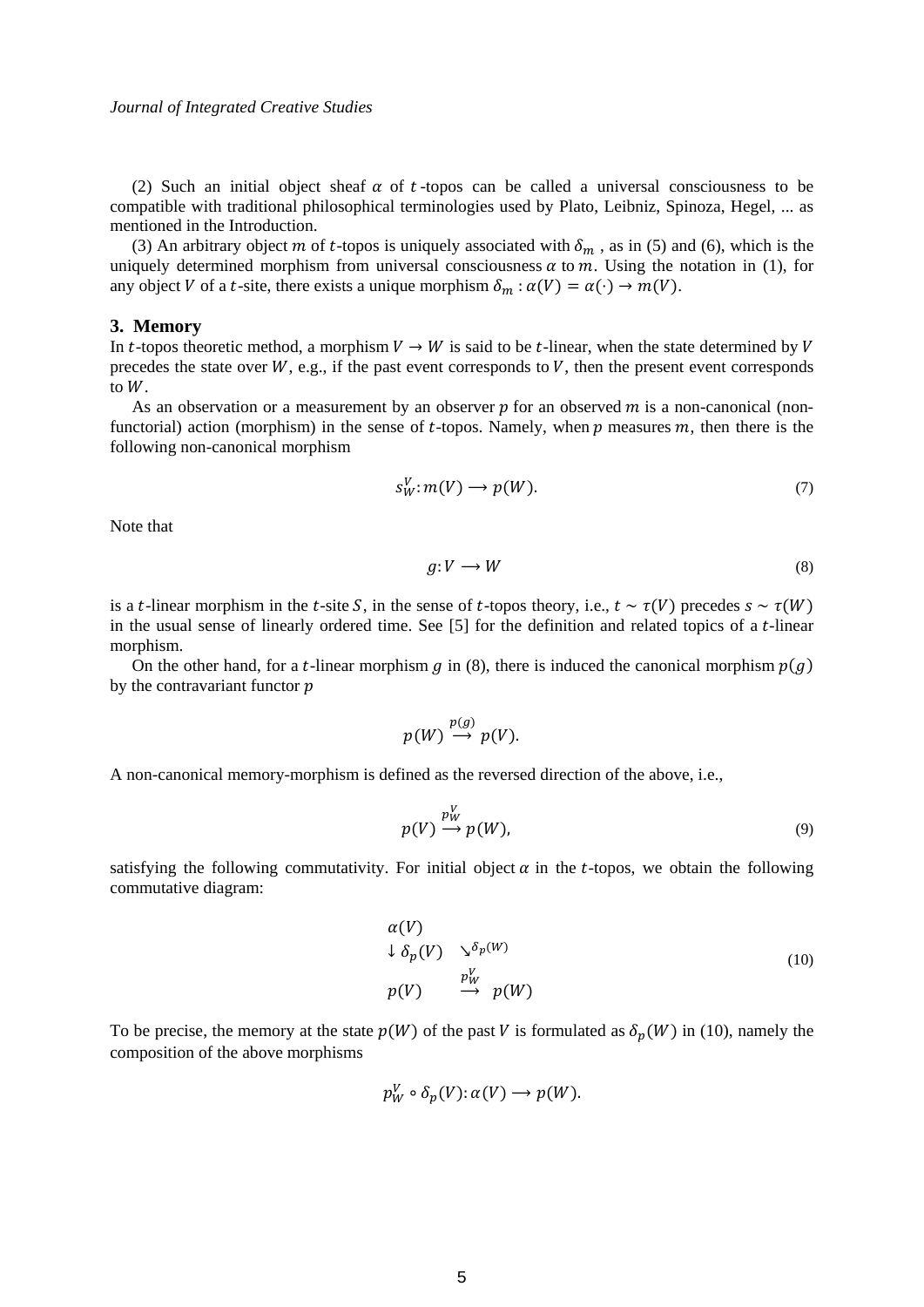(2) Such an initial object sheaf  $\alpha$  of t-topos can be called a universal consciousness to be compatible with traditional philosophical terminologies used by Plato, Leibniz, Spinoza, Hegel, ... as mentioned in the Introduction.

(3) An arbitrary object m of t-topos is uniquely associated with  $\delta_m$ , as in (5) and (6), which is the uniquely determined morphism from universal consciousness  $\alpha$  to  $m$ . Using the notation in (1), for any object V of a t-site, there exists a unique morphism  $\delta_m : \alpha(V) = \alpha(\cdot) \to m(V)$ .

#### **3. Memory**

In t-topos theoretic method, a morphism  $V \to W$  is said to be t-linear, when the state determined by V precedes the state over  $W$ , e.g., if the past event corresponds to  $V$ , then the present event corresponds to  $W$ .

As an observation or a measurement by an observer  $p$  for an observed  $m$  is a non-canonical (nonfunctorial) action (morphism) in the sense of t-topos. Namely, when  $p$  measures  $m$ , then there is the following non-canonical morphism

$$
s_W^V : m(V) \longrightarrow p(W). \tag{7}
$$

Note that

$$
g: V \longrightarrow W \tag{8}
$$

is a t-linear morphism in the t-site S, in the sense of t-topos theory, i.e.,  $t \sim \tau(V)$  precedes  $s \sim \tau(W)$ in the usual sense of linearly ordered time. See  $[5]$  for the definition and related topics of a t-linear morphism.

On the other hand, for a t-linear morphism g in (8), there is induced the canonical morphism  $p(g)$ by the contravariant functor  $p$ 

$$
p(W) \stackrel{p(g)}{\longrightarrow} p(V).
$$

A non-canonical memory-morphism is defined as the reversed direction of the above, i.e.,

$$
p(V) \xrightarrow{p_W^V} p(W), \tag{9}
$$

satisfying the following commutativity. For initial object  $\alpha$  in the t-topos, we obtain the following commutative diagram:

$$
\alpha(V)
$$
  
\n $\downarrow \delta_p(V)$   $\searrow^{\delta_p(W)}$   
\n $p(V)$   $\xrightarrow{p_W^V}$   $p(W)$  (10)

To be precise, the memory at the state  $p(W)$  of the past V is formulated as  $\delta_n(W)$  in (10), namely the composition of the above morphisms

$$
p_W^V \circ \delta_p(V) : \alpha(V) \to p(W).
$$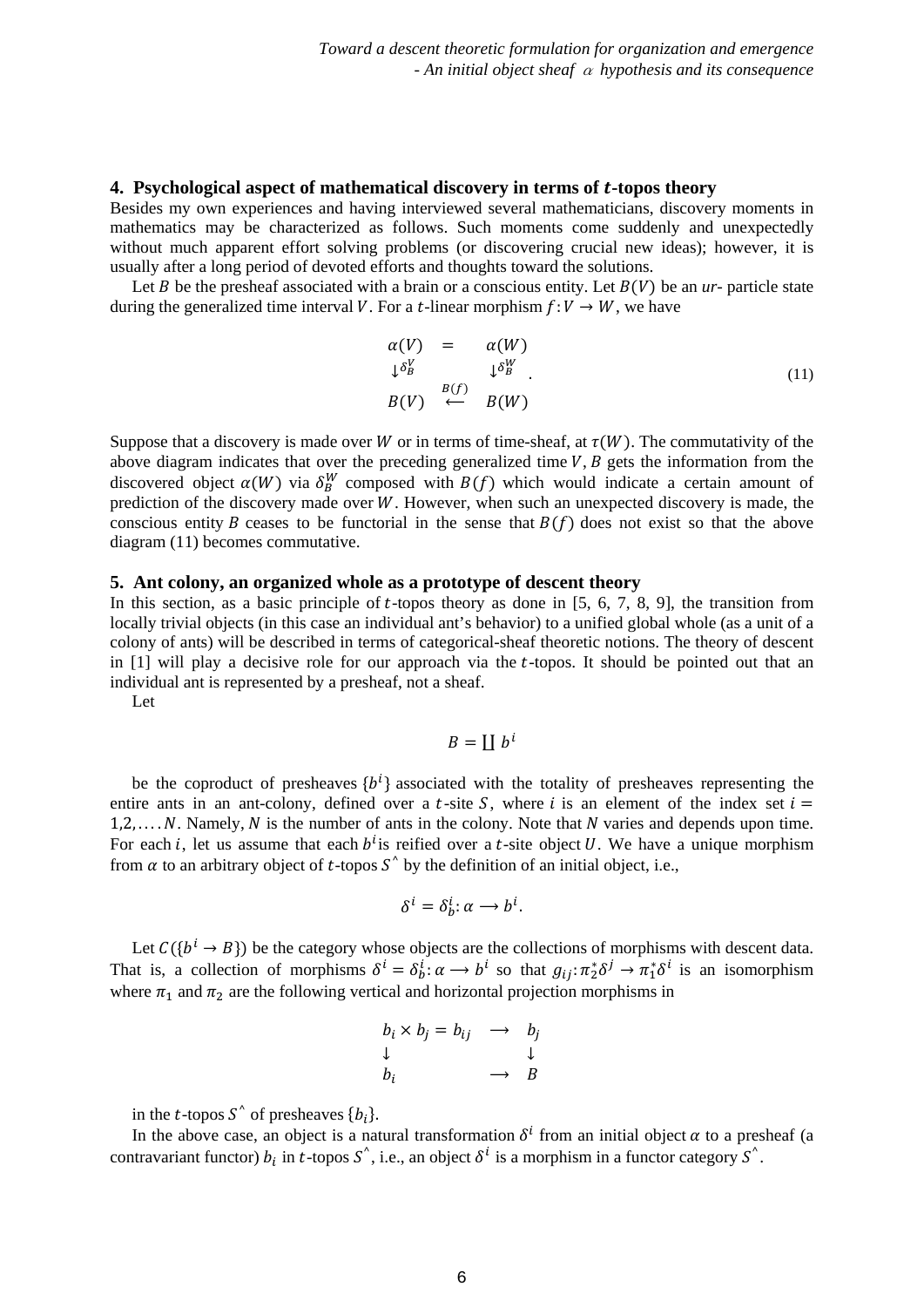#### **4. Psychological aspect of mathematical discovery in terms of -topos theory**

Besides my own experiences and having interviewed several mathematicians, discovery moments in mathematics may be characterized as follows. Such moments come suddenly and unexpectedly without much apparent effort solving problems (or discovering crucial new ideas); however, it is usually after a long period of devoted efforts and thoughts toward the solutions.

Let *B* be the presheaf associated with a brain or a conscious entity. Let  $B(V)$  be an *ur*- particle state during the generalized time interval V. For a t-linear morphism  $f: V \to W$ , we have

$$
\alpha(V) = \alpha(W)
$$
  
\n
$$
\downarrow \delta_B^V
$$
  
\n
$$
\downarrow \delta_B^W
$$
  
\n
$$
B(V) \leftarrow B(W)
$$
  
\n(11)

Suppose that a discovery is made over W or in terms of time-sheaf, at  $\tau(W)$ . The commutativity of the above diagram indicates that over the preceding generalized time  $V$ ,  $B$  gets the information from the discovered object  $\alpha(W)$  via  $\delta_B^W$  composed with  $B(f)$  which would indicate a certain amount of prediction of the discovery made over  $W$ . However, when such an unexpected discovery is made, the conscious entity B ceases to be functorial in the sense that  $B(f)$  does not exist so that the above diagram (11) becomes commutative.

#### **5. Ant colony, an organized whole as a prototype of descent theory**

In this section, as a basic principle of  $t$ -topos theory as done in [5, 6, 7, 8, 9], the transition from locally trivial objects (in this case an individual ant's behavior) to a unified global whole (as a unit of a colony of ants) will be described in terms of categorical-sheaf theoretic notions. The theory of descent in  $[1]$  will play a decisive role for our approach via the *t*-topos. It should be pointed out that an individual ant is represented by a presheaf, not a sheaf.

Let

$$
B=\coprod b^i
$$

be the coproduct of presheaves  ${b<sup>t</sup>}$  associated with the totality of presheaves representing the entire ants in an ant-colony, defined over a t-site S, where i is an element of the index set  $i =$  $1,2,..., N$ . Namely, N is the number of ants in the colony. Note that N varies and depends upon time. For each *i*, let us assume that each  $b<sup>i</sup>$  is reified over a *t*-site object *U*. We have a unique morphism from  $\alpha$  to an arbitrary object of t-topos  $S^{\wedge}$  by the definition of an initial object, i.e.,

$$
\delta^i = \delta^i_b \colon \alpha \to b^i.
$$

Let  $C({b}^{i} \rightarrow B)$  be the category whose objects are the collections of morphisms with descent data. That is, a collection of morphisms  $\delta^i = \delta_b^i : \alpha \to b^i$  so that  $g_{ij} : \pi_2^* \delta^j \to \pi_1^* \delta^i$  is an isomorphism where  $\pi_1$  and  $\pi_2$  are the following vertical and horizontal projection morphisms in

$$
b_i \times b_j = b_{ij} \longrightarrow b_j
$$
  
\n
$$
\downarrow \qquad \qquad \downarrow
$$
  
\n
$$
b_i \qquad \longrightarrow B
$$

in the *t*-topos  $S^{\wedge}$  of presheaves  ${b_i}$ .

In the above case, an object is a natural transformation  $\delta^i$  from an initial object  $\alpha$  to a presheaf (a contravariant functor)  $b_i$  in t-topos  $S^{\hat{}}$ , i.e., an object  $\delta^i$  is a morphism in a functor category  $S^{\hat{}}$ .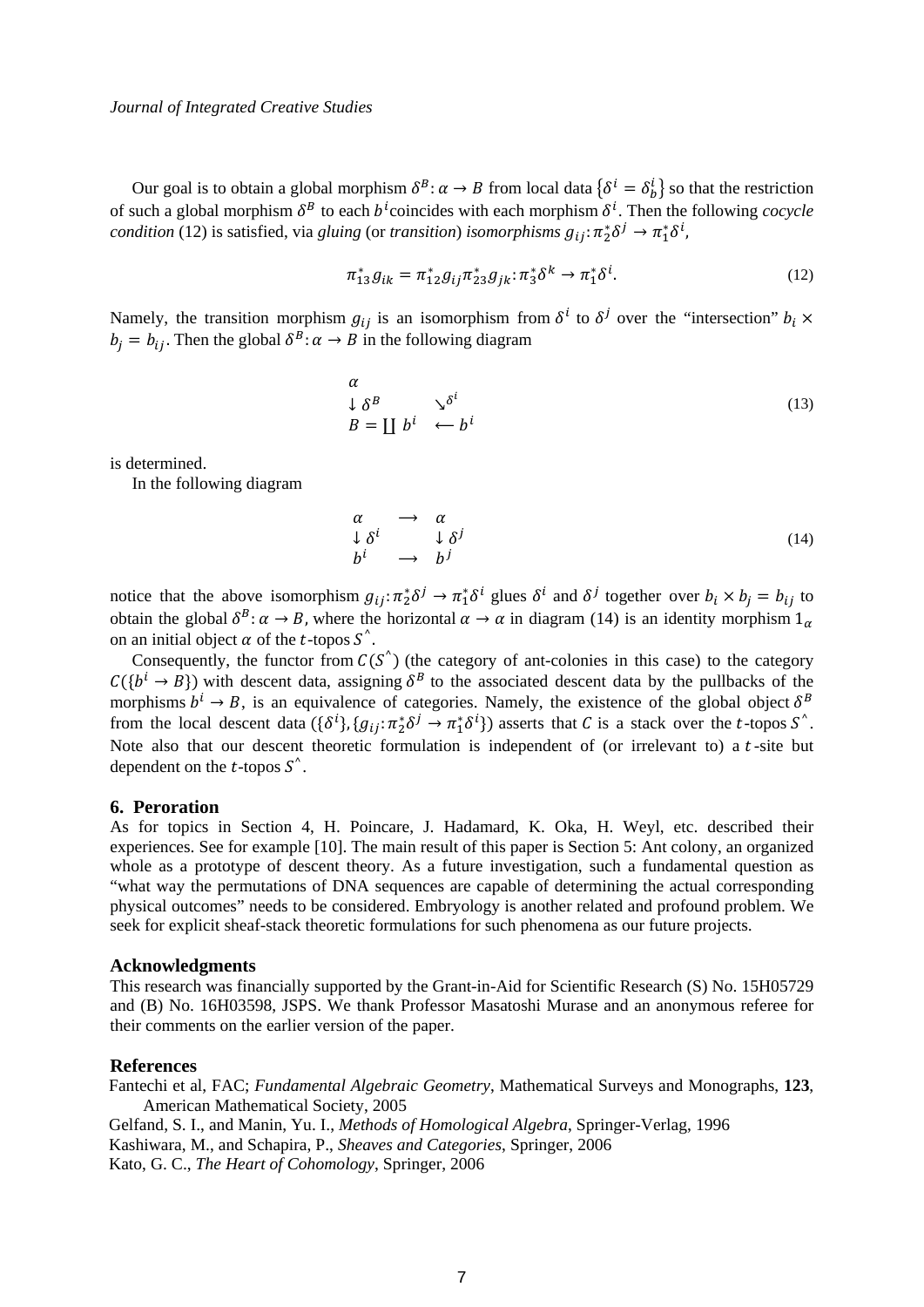Our goal is to obtain a global morphism  $\delta^B: \alpha \to B$  from local data  $\{\delta^i = \delta^i_b\}$  so that the restriction of such a global morphism  $\delta^B$  to each  $b^l$  coincides with each morphism  $\delta^l$ . Then the following *cocycle condition* (12) is satisfied, via *gluing* (or *transition*) *isomorphisms*  $g_{ij}$ :  $\pi_2^* \delta^j \to \pi_1^* \delta^i$ ,

$$
\pi_{13}^* g_{ik} = \pi_{12}^* g_{ij} \pi_{23}^* g_{jk} \colon \pi_3^* \delta^k \to \pi_1^* \delta^i. \tag{12}
$$

Namely, the transition morphism  $g_{ij}$  is an isomorphism from  $\delta^i$  to  $\delta^j$  over the "intersection"  $b_i \times$  $b_i = b_{ij}$ . Then the global  $\delta^B: \alpha \to B$  in the following diagram

$$
\begin{array}{ll}\n\alpha & \Delta^B & \Delta^{\delta^i} \\
B = \coprod b^i & \leftarrow b^i\n\end{array} \tag{13}
$$

is determined.

In the following diagram

$$
\begin{array}{ccc}\n\alpha & \longrightarrow & \alpha \\
\downarrow \delta^i & & \downarrow \delta^j \\
b^i & \longrightarrow & b^j\n\end{array} \tag{14}
$$

notice that the above isomorphism  $g_{ij}$ :  $\pi_2^* \delta^j \to \pi_1^* \delta^i$  glues  $\delta^i$  and  $\delta^j$  together over  $b_i \times b_j = b_{ij}$  to obtain the global  $\delta^B$ :  $\alpha \to B$ , where the horizontal  $\alpha \to \alpha$  in diagram (14) is an identity morphism  $1_\alpha$ on an initial object  $\alpha$  of the *t*-topos  $S^{\wedge}$ .

Consequently, the functor from  $C(S^{\wedge})$  (the category of ant-colonies in this case) to the category  $C({b<sup>i</sup> \rightarrow B})$  with descent data, assigning  $\delta^B$  to the associated descent data by the pullbacks of the morphisms  $b^i \rightarrow B$ , is an equivalence of categories. Namely, the existence of the global object  $\delta^B$ from the local descent data  $(\{\delta^i\}, \{g_{ij}: \pi_2^* \delta^j \to \pi_1^* \delta^i\})$  asserts that C is a stack over the t-topos S<sup> $\circ$ </sup>. Note also that our descent theoretic formulation is independent of (or irrelevant to) a  $t$ -site but dependent on the  $t$ -topos  $S^{\hat{ }}$ .

### **6. Peroration**

As for topics in Section 4, H. Poincare, J. Hadamard, K. Oka, H. Weyl, etc. described their experiences. See for example [10]. The main result of this paper is Section 5: Ant colony, an organized whole as a prototype of descent theory. As a future investigation, such a fundamental question as "what way the permutations of DNA sequences are capable of determining the actual corresponding physical outcomes" needs to be considered. Embryology is another related and profound problem. We seek for explicit sheaf-stack theoretic formulations for such phenomena as our future projects.

#### **Acknowledgments**

This research was financially supported by the Grant-in-Aid for Scientific Research (S) No. 15H05729 and (B) No. 16H03598, JSPS. We thank Professor Masatoshi Murase and an anonymous referee for their comments on the earlier version of the paper.

#### **References**

Fantechi et al, FAC; *Fundamental Algebraic Geometry*, Mathematical Surveys and Monographs, **123**, American Mathematical Society, 2005 Gelfand, S. I., and Manin, Yu. I., *Methods of Homological Algebra*, Springer-Verlag, 1996 Kashiwara, M., and Schapira, P., *Sheaves and Categories*, Springer, 2006 Kato, G. C., *The Heart of Cohomology*, Springer, 2006